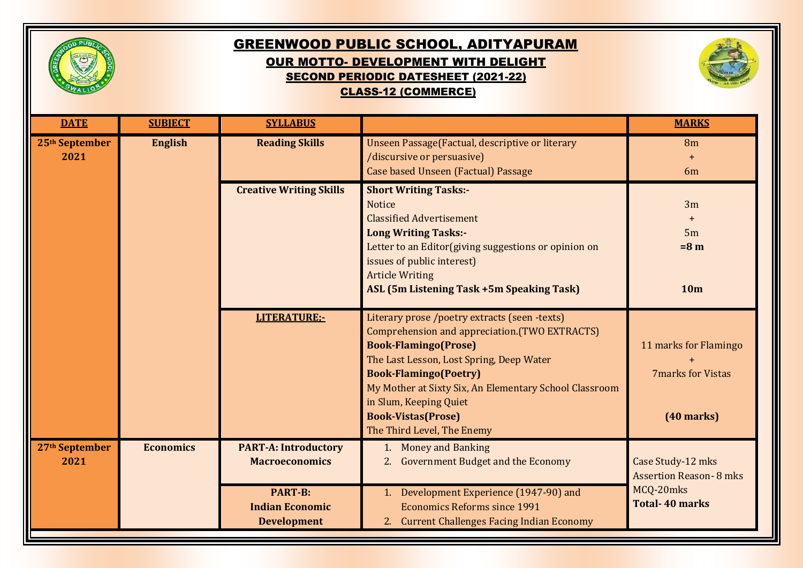

## GREENWOOD PUBLIC SCHOOL, ADITYAPURAM OUR MOTTO- DEVELOPMENT WITH DELIGHT SECOND PERIODIC DATESHEET (2021-22) CLASS-12 (COMMERCE)



| <b>DATE</b>            | <b>SUBJECT</b>   | <b>SYLLABUS</b>                                                |                                                                                                                                                                                                                                                                                                                                                           | <b>MARKS</b>                                                                              |
|------------------------|------------------|----------------------------------------------------------------|-----------------------------------------------------------------------------------------------------------------------------------------------------------------------------------------------------------------------------------------------------------------------------------------------------------------------------------------------------------|-------------------------------------------------------------------------------------------|
| 25th September<br>2021 | <b>English</b>   | <b>Reading Skills</b>                                          | Unseen Passage(Factual, descriptive or literary<br>(discursive or persuasive)<br><b>Case based Unseen (Factual) Passage</b>                                                                                                                                                                                                                               | 8 <sub>m</sub><br>6 <sub>m</sub>                                                          |
|                        |                  | <b>Creative Writing Skills</b>                                 | <b>Short Writing Tasks:-</b><br><b>Notice</b><br><b>Classified Advertisement</b><br><b>Long Writing Tasks:-</b><br>Letter to an Editor(giving suggestions or opinion on<br>issues of public interest)<br><b>Article Writing</b><br><b>ASL (5m Listening Task +5m Speaking Task)</b>                                                                       | 3m<br>5 <sub>m</sub><br>$= 8 m$<br>10 <sub>m</sub>                                        |
|                        |                  | <b>LITERATURE:-</b>                                            | Literary prose /poetry extracts (seen -texts)<br>Comprehension and appreciation. (TWO EXTRACTS)<br><b>Book-Flamingo(Prose)</b><br>The Last Lesson, Lost Spring, Deep Water<br><b>Book-Flamingo(Poetry)</b><br>My Mother at Sixty Six, An Elementary School Classroom<br>in Slum, Keeping Quiet<br><b>Book-Vistas(Prose)</b><br>The Third Level, The Enemy | 11 marks for Flamingo<br><b>7marks for Vistas</b><br>$(40$ marks)                         |
| 27th September<br>2021 | <b>Economics</b> | <b>PART-A: Introductory</b><br><b>Macroeconomics</b>           | 1. Money and Banking<br>2. Government Budget and the Economy                                                                                                                                                                                                                                                                                              | Case Study-12 mks<br><b>Assertion Reason- 8 mks</b><br>MCQ-20mks<br><b>Total-40 marks</b> |
|                        |                  | <b>PART-B:</b><br><b>Indian Economic</b><br><b>Development</b> | 1. Development Experience (1947-90) and<br><b>Economics Reforms since 1991</b><br>2. Current Challenges Facing Indian Economy                                                                                                                                                                                                                             |                                                                                           |